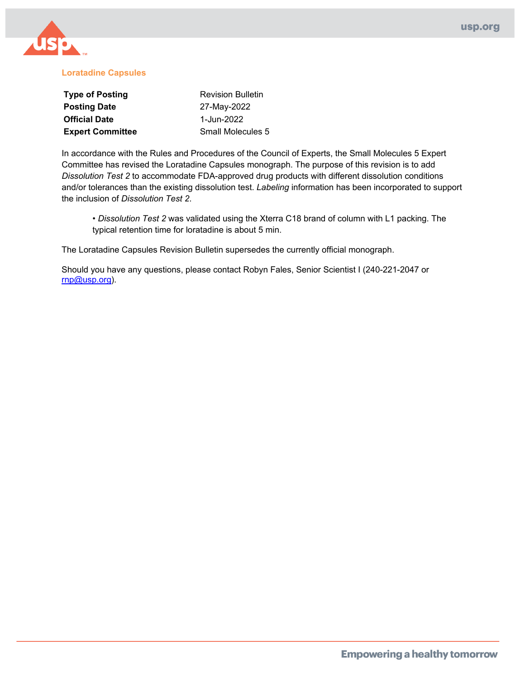

#### **Loratadine Capsules**

| <b>Type of Posting</b>  | <b>Revision Bulletin</b> |  |
|-------------------------|--------------------------|--|
| <b>Posting Date</b>     | 27-May-2022              |  |
| <b>Official Date</b>    | 1-Jun-2022               |  |
| <b>Expert Committee</b> | <b>Small Molecules 5</b> |  |

In accordance with the Rules and Procedures of the Council of Experts, the Small Molecules 5 Expert Committee has revised the Loratadine Capsules monograph. The purpose of this revision is to add *Dissolution Test 2* to accommodate FDA-approved drug products with different dissolution conditions and/or tolerances than the existing dissolution test. *Labeling* information has been incorporated to support the inclusion of *Dissolution Test 2*.

• *Dissolution Test 2* was validated using the Xterra C18 brand of column with L1 packing. The typical retention time for loratadine is about 5 min.

The Loratadine Capsules Revision Bulletin supersedes the currently official monograph.

Should you have any questions, please contact Robyn Fales, Senior Scientist I (240-221-2047 or [rnp@usp.org\)](mailto:rnp@usp.org).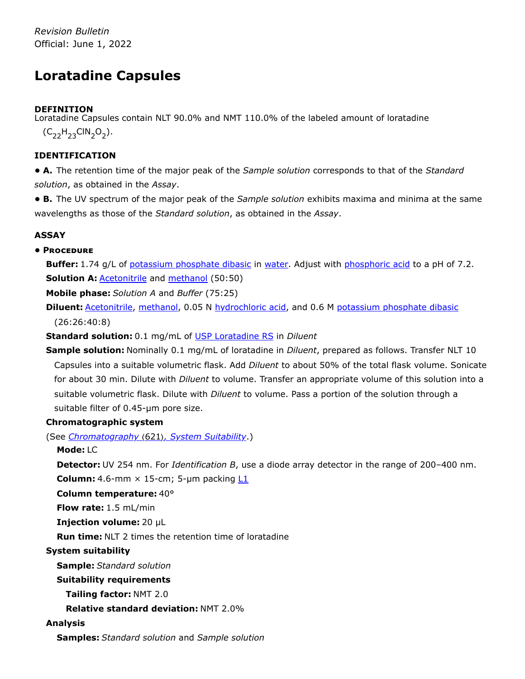*Revision Bulletin* Official: June 1, 2022

# **Loratadine Capsules**

# **DEFINITION**

Loratadine Capsules contain NLT 90.0% and NMT 110.0% of the labeled amount of loratadine  $(C_{22}H_{23}CIN_2O_2).$ 

# **IDENTIFICATION**

**• A.** The retention time of the major peak of the *Sample solution* corresponds to that of the *Standard solution*, as obtained in the *Assay*.

**• B.** The UV spectrum of the major peak of the *Sample solution* exhibits maxima and minima at the same wavelengths as those of the *Standard solution*, as obtained in the *Assay*.

# **ASSAY**

# **• Procedure**

**Buffer:** 1.74 g/L of potassium phosphate dibasic in water. Adjust with phosphoric acid to a pH of 7.2. **Solution A: Acetonitrile and methanol (50:50)** 

**Mobile phase:** *Solution A* and *Buffer* (75:25)

**Diluent:** Acetonitrile, methanol, 0.05 N hydrochloric acid, and 0.6 M potassium phosphate dibasic (26:26:40:8)

**Standard solution:** 0.1 mg/mL of [USP Loratadine](https://store.usp.org/searchresults?Ntt=1370270&searchType=simple&type=search) RS in *Diluent*

**Sample solution:** Nominally 0.1 mg/mL of loratadine in *Diluent*, prepared as follows. Transfer NLT 10 Capsules into a suitable volumetric flask. Add *Diluent* to about 50% of the total flask volume. Sonicate for about 30 min. Dilute with *Diluent* to volume. Transfer an appropriate volume of this solution into a suitable volumetric flask. Dilute with *Diluent* to volume. Pass a portion of the solution through a suitable filter of 0.45-µm pore size.

### **Chromatographic system**

(See *Chromatography* 〈621〉*, System Suitability*.)

### **Mode:** LC

**Detector:** UV 254 nm. For *Identification B*, use a diode array detector in the range of 200–400 nm. **Column:** 4.6-mm  $\times$  15-cm; 5-µm packing  $L1$ 

**Column temperature:** 40°

**Flow rate:** 1.5 mL/min

**Injection volume:** 20 µL

**Run time:** NLT 2 times the retention time of loratadine

### **System suitability**

**Sample:** *Standard solution*

**Suitability requirements**

**Tailing factor:** NMT 2.0

**Relative standard deviation:** NMT 2.0%

### **Analysis**

**Samples:** *Standard solution* and *Sample solution*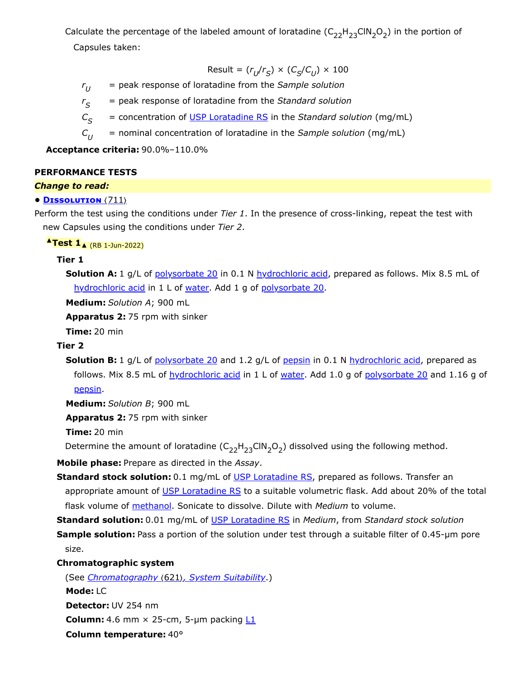Calculate the percentage of the labeled amount of loratadine ( $\mathsf{C}_{22}\mathsf{H}_{23}\mathsf{CIN}_2\mathsf{O}_2$ ) in the portion of

Capsules taken:

$$
\text{Result} = (r_U/r_S) \times (C_S/C_U) \times 100
$$

- *r* = peak response of loratadine from the *Sample solution*  $r_{II}$
- *r* = peak response of loratadine from the *Standard solution*  $r_S$

*C* = concentration of [USP Loratadine](https://store.usp.org/searchresults?Ntt=1370270&searchType=simple&type=search) RS in the *Standard solution* (mg/mL)  $C_{\rm c}$ 

*C* = nominal concentration of loratadine in the *Sample solution* (mg/mL)  $C_{II}$ 

**Acceptance criteria:** 90.0%–110.0%

#### **PERFORMANCE TESTS**

#### *Change to read:*

#### **• Dissolution** 〈711〉

Perform the test using the conditions under *Tier 1*. In the presence of cross-linking, repeat the test with new Capsules using the conditions under *Tier 2*.

#### **▲Test 1**▲ (RB 1-Jun-2022)

#### **Tier 1**

**Solution A:** 1 g/L of polysorbate 20 in 0.1 N hydrochloric acid, prepared as follows. Mix 8.5 mL of hydrochloric acid in 1 L of water. Add 1 g of polysorbate 20.

**Medium:** *Solution A*; 900 mL

**Apparatus 2:** 75 rpm with sinker

**Time:** 20 min

#### **Tier 2**

**Solution B:** 1 g/L of polysorbate 20 and 1.2 g/L of pepsin in 0.1 N hydrochloric acid, prepared as follows. Mix 8.5 mL of hydrochloric acid in 1 L of water. Add 1.0 g of polysorbate 20 and 1.16 g of pepsin.

**Medium:** *Solution B*; 900 mL

**Apparatus 2:** 75 rpm with sinker

**Time:** 20 min

Determine the amount of loratadine  $(\mathsf{C}_{22}\mathsf{H}_{23}\mathsf{CIN}_2\mathsf{O}_2)$  dissolved using the following method.

**Mobile phase:** Prepare as directed in the *Assay*.

- **Standard stock solution:** 0.1 mg/mL of [USP Loratadine](https://store.usp.org/searchresults?Ntt=1370270&searchType=simple&type=search) RS, prepared as follows. Transfer an appropriate amount of [USP Loratadine](https://store.usp.org/searchresults?Ntt=1370270&searchType=simple&type=search) RS to a suitable volumetric flask. Add about 20% of the total flask volume of methanol. Sonicate to dissolve. Dilute with *Medium* to volume.
- **Standard solution:** 0.01 mg/mL of [USP Loratadine](https://store.usp.org/searchresults?Ntt=1370270&searchType=simple&type=search) RS in *Medium*, from *Standard stock solution*

**Sample solution:** Pass a portion of the solution under test through a suitable filter of 0.45-µm pore size.

#### **Chromatographic system**

(See *Chromatography* 〈621〉*, System Suitability*.) **Mode:** LC **Detector:** UV 254 nm **Column:** 4.6 mm  $\times$  25-cm, 5-µm packing  $L1$ **Column temperature:** 40°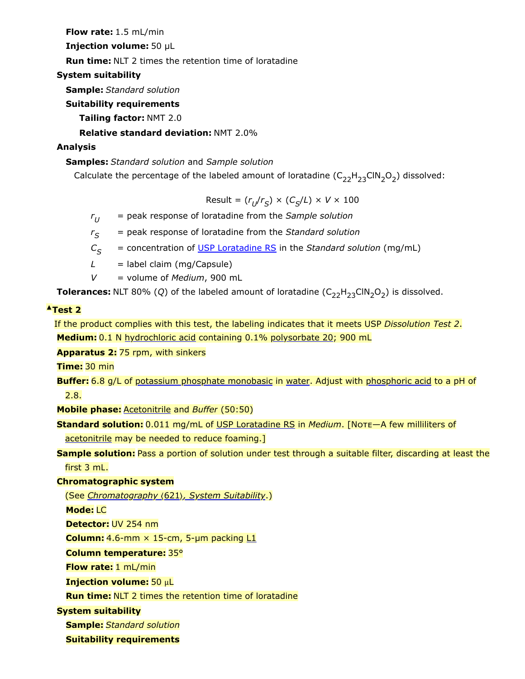**Flow rate:** 1.5 mL/min

**Injection volume:** 50 µL

**Run time:** NLT 2 times the retention time of loratadine

# **System suitability**

**Sample:** *Standard solution*

# **Suitability requirements**

**Tailing factor:** NMT 2.0

**Relative standard deviation:** NMT 2.0%

# **Analysis**

# **Samples:** *Standard solution* and *Sample solution*

Calculate the percentage of the labeled amount of loratadine  $(\mathsf{C}_{22}\mathsf{H}_{23}\mathsf{CIN}_2\mathsf{O}_2)$  dissolved:

 $Result = (r_U/r_S) \times (C_S/L) \times V \times 100$ 

*r* = peak response of loratadine from the *Sample solution*  $r_{II}$ 

 $=$  peak response of loratadine from the *Standard solution*  $r_S$ 

- *C* = concentration of [USP Loratadine](https://store.usp.org/searchresults?Ntt=1370270&searchType=simple&type=search) RS in the *Standard solution* (mg/mL)  $C_{\varsigma}$
- $L =$  label claim (mg/Capsule)
- *V* = volume of *Medium*, 900 mL

**Tolerances:** NLT 80% (Q) of the labeled amount of loratadine  $(C_{22}H_{23}CIN_2O_2)$  is dissolved.

# **▲Test 2**

If the product complies with this test, the labeling indicates that it meets USP *Dissolution Test 2*. **Medium:** 0.1 N hydrochloric acid containing 0.1% polysorbate 20; 900 mL

**Apparatus 2:** 75 rpm, with sinkers

**Time:** 30 min

```
Buffer: 6.8 g/L of potassium phosphate monobasic in water. Adjust with phosphoric acid to a pH of
2.8.
```
**Mobile phase:** Acetonitrile and *Buffer* (50:50)

**Standard solution:** 0.011 mg/mL of [USP Loratadine](https://store.usp.org/searchresults?Ntt=1370270&searchType=simple&type=search) RS in *Medium*. [Note—A few milliliters of acetonitrile may be needed to reduce foaming.]

**Sample solution:** Pass a portion of solution under test through a suitable filter, discarding at least the first 3 mL.

### **Chromatographic system**

(See *Chromatography* 〈621〉*, System Suitability*.)

**Mode:** LC

**Detector:** UV 254 nm

**Column:** 4.6-mm  $\times$  15-cm, 5-µm packing  $L1$ 

**Column temperature:** 35°

**Flow rate:** 1 mL/min

**Injection volume:** 50 μL

**Run time:** NLT 2 times the retention time of loratadine

**System suitability**

**Sample:** *Standard solution*

**Suitability requirements**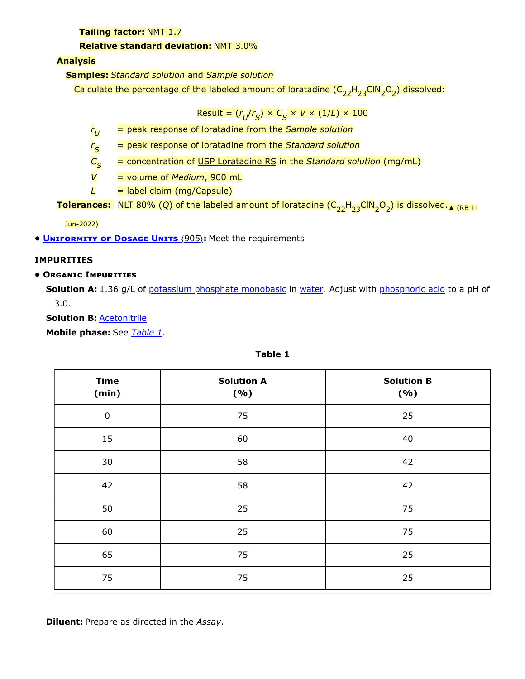**Tailing factor:** NMT 1.7

#### **Relative standard deviation:** NMT 3.0%

**Analysis**

**Samples:** *Standard solution* and *Sample solution*

Calculate the percentage of the labeled amount of loratadine (C<sub>22</sub>H<sub>23</sub>CIN<sub>2</sub>O<sub>2</sub>) dissolved:

 ${\sf Result} = (r_{U}/r_{S}) \times C_{S} \times V \times (1/L) \times 100$ 

*r* = peak response of loratadine from the *Sample solution*  $r_U$ 

*r* = peak response of loratadine from the *Standard solution*  $r_{\mathcal{S}}$ 

*C* = concentration of [USP Loratadine](https://store.usp.org/searchresults?Ntt=1370270&searchType=simple&type=search) RS in the *Standard solution* (mg/mL)  $C_{\mathcal{S}}$ 

*V* = volume of *Medium*, 900 mL

*L* = label claim (mg/Capsule)

**Tolerances:** NLT 80% (Q) of the labeled amount of loratadine ( $C_{22}H_{23}$ CIN<sub>2</sub>O<sub>2</sub>) is dissolved.<sub>A (RB 1-</sub>

Jun-2022)

**• UNIFORMITY OF DOSAGE UNITS** (905): Meet the requirements

### **IMPURITIES**

#### **• Organic Impurities**

**Solution A:** 1.36 g/L of potassium phosphate monobasic in water. Adjust with phosphoric acid to a pH of 3.0.

**Solution B:** Acetonitrile

**Mobile phase:** See *[Table 1](#page-4-0)*.

<span id="page-4-0"></span>

| <b>Time</b><br>(min) | <b>Solution A</b><br>(9/0) | <b>Solution B</b><br>( %) |  |
|----------------------|----------------------------|---------------------------|--|
| $\pmb{0}$            | 75                         | 25                        |  |
| 15                   | 60                         | 40                        |  |
| 30                   | 58                         | 42                        |  |
| 42                   | 58                         | 42                        |  |
| 50                   | 25                         | 75                        |  |
| 60                   | 25                         | 75                        |  |
| 65                   | 75                         | 25                        |  |
| 75                   | 75                         | 25                        |  |

**Table 1**

**Diluent:** Prepare as directed in the *Assay*.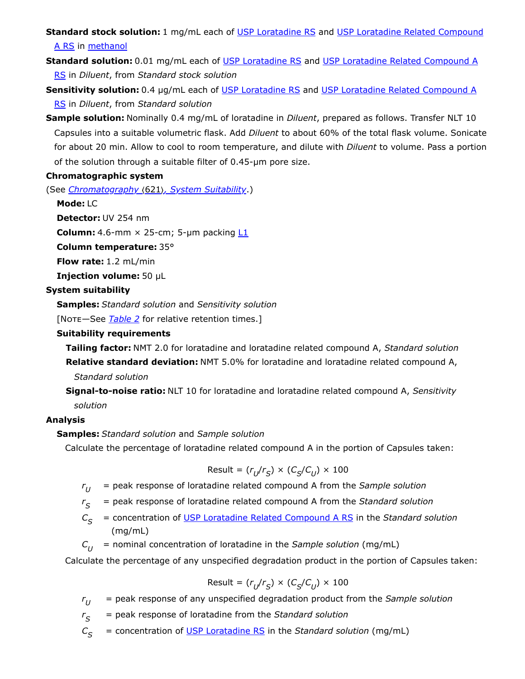**Standard stock solution:** [1 mg/mL each of U](https://store.usp.org/searchresults?Ntt=1370280&searchType=simple&type=search)[SP Loratadine](https://store.usp.org/searchresults?Ntt=1370270&searchType=simple&type=search) RS and USP Loratadine Related Compound A RS in methanol

**Standard solution:** [0.01 mg/mL each of](https://store.usp.org/searchresults?Ntt=1370280&searchType=simple&type=search) [USP Loratadine](https://store.usp.org/searchresults?Ntt=1370270&searchType=simple&type=search) RS and USP Loratadine Related Compound A RS in *Diluent*, from *Standard stock solution*

**Sensitivity solution:** [0.4 µg/mL each of](https://store.usp.org/searchresults?Ntt=1370280&searchType=simple&type=search) [USP Loratadine](https://store.usp.org/searchresults?Ntt=1370270&searchType=simple&type=search) RS and USP Loratadine Related Compound A RS in *Diluent*, from *Standard solution*

**Sample solution:** Nominally 0.4 mg/mL of loratadine in *Diluent*, prepared as follows. Transfer NLT 10 Capsules into a suitable volumetric flask. Add *Diluent* to about 60% of the total flask volume. Sonicate for about 20 min. Allow to cool to room temperature, and dilute with *Diluent* to volume. Pass a portion of the solution through a suitable filter of 0.45-µm pore size.

#### **Chromatographic system**

(See *Chromatography* 〈621〉*, System Suitability*.)

**Mode:** LC

**Detector:** UV 254 nm

**Column:** 4.6-mm  $\times$  25-cm; 5-µm packing  $L1$ 

**Column temperature:** 35°

**Flow rate:** 1.2 mL/min

**Injection volume:** 50 µL

### **System suitability**

**Samples:** *Standard solution* and *Sensitivity solution*

[Note—See *[Table 2](#page-6-0)* for relative retention times.]

#### **Suitability requirements**

**Tailing factor:** NMT 2.0 for loratadine and loratadine related compound A, *Standard solution* **Relative standard deviation:** NMT 5.0% for loratadine and loratadine related compound A, *Standard solution*

**Signal-to-noise ratio:** NLT 10 for loratadine and loratadine related compound A, *Sensitivity*

# *solution*

### **Analysis**

### **Samples:** *Standard solution* and *Sample solution*

Calculate the percentage of loratadine related compound A in the portion of Capsules taken:

$$
\text{Result} = (r_U/r_S) \times (C_S/C_U) \times 100
$$

- *r* = peak response of loratadine related compound A from the *Sample solution*  $r_{II}$
- *r* = peak response of loratadine related compound A from the *Standard solution*  $r_{\mathcal{S}}$
- $C =$  concentration of USP Loratadine [Related Compound A RS](https://store.usp.org/searchresults?Ntt=1370280&searchType=simple&type=search) in the *Standard solution* (mg/mL)  $C_{\rm s}$
- $C_{U}$  = nominal concentration of loratadine in the *Sample solution* (mg/mL)

Calculate the percentage of any unspecified degradation product in the portion of Capsules taken:

$$
Result = (r_U/r_S) \times (C_S/C_U) \times 100
$$

- *r* = peak response of any unspecified degradation product from the *Sample solution*  $r_{U}$
- *r* = peak response of loratadine from the *Standard solution*  $r_S$
- *C* = concentration of [USP Loratadine](https://store.usp.org/searchresults?Ntt=1370270&searchType=simple&type=search) RS in the *Standard solution* (mg/mL)  $C_{\varsigma}$